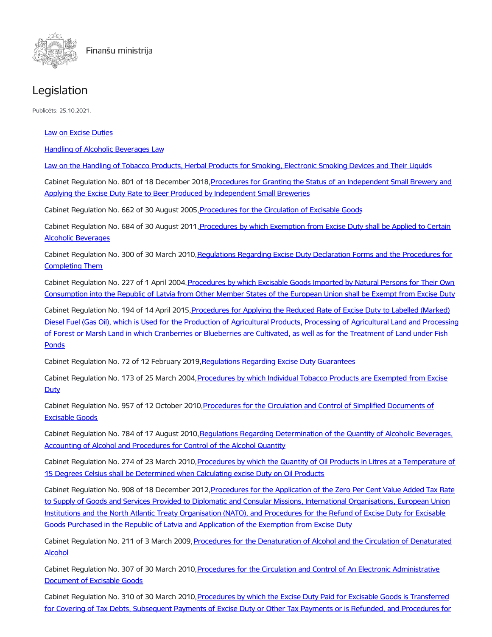

## Legislation

Publicēts: 25.10.2021.

Law on Excise [Duties](https://likumi.lv/ta/en/en/id/81066-on-excise-duties)

Handling of Alcoholic [Beverages](https://likumi.lv/ta/en/en/id/88009-handling-of-alcoholic-beverages-law) Law

Law on the Handling of Tobacco Products, Herbal Products for Smoking, [Electronic](https://likumi.lv/ta/en/en/id/282077-on-the-handling-of-tobacco-products-herbal-products-for-smoking-electronic-smoking-devices-and-their-liquids) Smoking Devices and Their Liquids

Cabinet Regulation No. 801 of 18 December [2018,Procedures](https://likumi.lv/ta/id/303859) for Granting the Status of an Independent Small Brewery and Applying the Excise Duty Rate to Beer Produced by Independent Small Breweries

Cabinet Regulation No. 662 of 30 August 2005[,Procedures](https://likumi.lv/ta/en/en/id/115573-procedures-for-the-circulation-of-excisable-goods) for the Circulation of Excisable Goods

Cabinet Regulation No. 684 of 30 August 2011, Procedures by which Exemption from Excise Duty shall be Applied to Certain Alcoholic Beverages

Cabinet Regulation No. 300 of 30 March [2010,Regulations](https://likumi.lv/doc.php?id=207473) Regarding Excise Duty Declaration Forms and the Procedures for Completing Them

Cabinet Regulation No. 227 of 1 April [2004,Procedures](https://likumi.lv/ta/en/en/id/86816-procedures-by-which-excisable-goods-imported-by-natural-persons-for-their-own-consumption-into-the-republic-of-latvia-from-other-member-states-of-the-european-union-shall-be-exempt-from-excise-duty) by which Excisable Goods Imported by Natural Persons for Their Own Consumption into the Republic of Latvia from Other Member States of the European Union shall be Exempt from Excise Duty

Cabinet Regulation No. 194 of 14 April 2015, Procedures for Applying the Reduced Rate of Excise Duty to Labelled (Marked) Diesel Fuel (Gas Oil), which is Used for the Production of Agricultural Products, Processing of Agricultural Land and Processing of Forest or Marsh Land in which Cranberries or Blueberries are Cultivated, as well as for the Treatment of Land under Fish **Ponds** 

Cabinet Regulation No. 72 of 12 February 2019, Regulations Regarding Excise Duty Guarantees

Cabinet Regulation No. 173 of 25 March [2004,Procedures](https://likumi.lv/ta/en/en/id/86817-procedures-by-which-individual-tobacco-products-are-exempted-from-excise-duty) by which Individual Tobacco Products are Exempted from Excise **Duty** 

Cabinet Regulation No. 957 of 12 October [2010,Procedures](https://likumi.lv/doc.php?id=219570) for the Circulation and Control of Simplified Documents of Excisable Goods

Cabinet Regulation No. 784 of 17 August 2010, Regulations Regarding Determination of the Quantity of Alcoholic Beverages, Accounting of Alcohol and Procedures for Control of the Alcohol Quantity

Cabinet Regulation No. 274 of 23 March 2010, Procedures by which the Quantity of Oil Products in Litres at a Temperature of 15 Degrees Celsius shall be Determined when Calculating excise Duty on Oil Products

Cabinet Regulation No. 908 of 18 December 2012, Procedures for the Application of the Zero Per Cent Value Added Tax Rate to Supply of Goods and Services Provided to Diplomatic and Consular Missions, International Organisations, European Union Institutions and the North Atlantic Treaty Organisation (NATO), and Procedures for the Refund of Excise Duty for Excisable Goods Purchased in the Republic of Latvia and Application of the Exemption from Excise Duty

Cabinet Regulation No. 211 of 3 March 2009, Procedures for the Denaturation of Alcohol and the Circulation of Denaturated Alcohol

Cabinet Regulation No. 307 of 30 March 2010, Procedures for the Circulation and Control of An Electronic Administrative Document of Excisable Goods

Cabinet Regulation No. 310 of 30 March 2010, Procedures by which the Excise Duty Paid for Excisable Goods is Transferred for Covering of Tax Debts, Subsequent Payments of Excise Duty or Other Tax Payments or is Refunded, and Procedures for